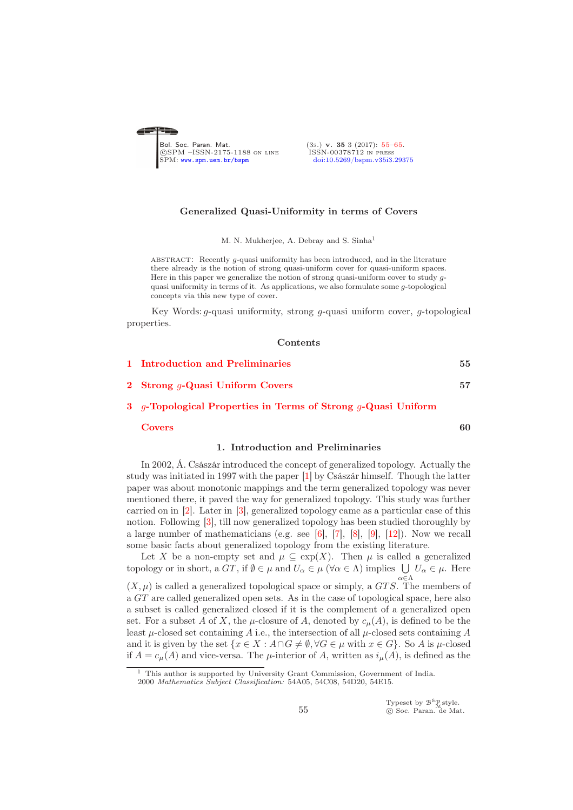<span id="page-0-0"></span>

# Generalized Quasi-Uniformity in terms of Covers

M. N. Mukherjee, A. Debray and S. Sinha<sup>1</sup>

ABSTRACT: Recently  $q$ -quasi uniformity has been introduced, and in the literature there already is the notion of strong quasi-uniform cover for quasi-uniform spaces. Here in this paper we generalize the notion of strong quasi-uniform cover to study gquasi uniformity in terms of it. As applications, we also formulate some g-topological concepts via this new type of cover.

Key Words: g-quasi uniformity, strong g-quasi uniform cover, g-topological properties.

 $C$ ontents

|    | <u>Controlitio</u>                                                            |    |
|----|-------------------------------------------------------------------------------|----|
| 1. | <b>Introduction and Preliminaries</b>                                         | 55 |
|    | 2 Strong $q$ -Quasi Uniform Covers                                            | 57 |
|    | 3 <i>q</i> -Topological Properties in Terms of Strong <i>q</i> -Quasi Uniform |    |
|    | l 'overs                                                                      |    |

## 1. Introduction and Preliminaries

<span id="page-0-1"></span>In 2002, Á. Császár introduced the concept of generalized topology. Actually the study was initiated in 1997 with the paper [\[1\]](#page-9-1) by Császár himself. Though the latter paper was about monotonic mappings and the term generalized topology was never mentioned there, it paved the way for generalized topology. This study was further carried on in [\[2\]](#page-9-2). Later in [\[3\]](#page-9-3), generalized topology came as a particular case of this notion. Following [\[3\]](#page-9-3), till now generalized topology has been studied thoroughly by a large number of mathematicians (e.g. see [\[6\]](#page-9-4), [\[7\]](#page-9-5), [\[8\]](#page-10-0), [\[9\]](#page-10-1), [\[12\]](#page-10-2)). Now we recall some basic facts about generalized topology from the existing literature.

Let X be a non-empty set and  $\mu \subseteq \exp(X)$ . Then  $\mu$  is called a generalized topology or in short, a  $GT$ , if  $\emptyset \in \mu$  and  $U_{\alpha} \in \mu$  ( $\forall \alpha \in \Lambda$ ) implies  $\bigcup U_{\alpha} \in \mu$ . Here  $(X, \mu)$  is called a generalized topological space or simply, a  $GTS$ . The members of a GT are called generalized open sets. As in the case of topological space, here also a subset is called generalized closed if it is the complement of a generalized open set. For a subset A of X, the  $\mu$ -closure of A, denoted by  $c_{\mu}(A)$ , is defined to be the least  $\mu$ -closed set containing A i.e., the intersection of all  $\mu$ -closed sets containing A and it is given by the set  $\{x \in X : A \cap G \neq \emptyset, \forall G \in \mu \text{ with } x \in G\}$ . So A is  $\mu$ -closed if  $A = c_{\mu}(A)$  and vice-versa. The  $\mu$ -interior of A, written as  $i_{\mu}(A)$ , is defined as the

2000 *Mathematics Subject Classification:* 54A05, 54C08, 54D20, 54E15.

<sup>1</sup> This author is supported by University Grant Commission, Government of India.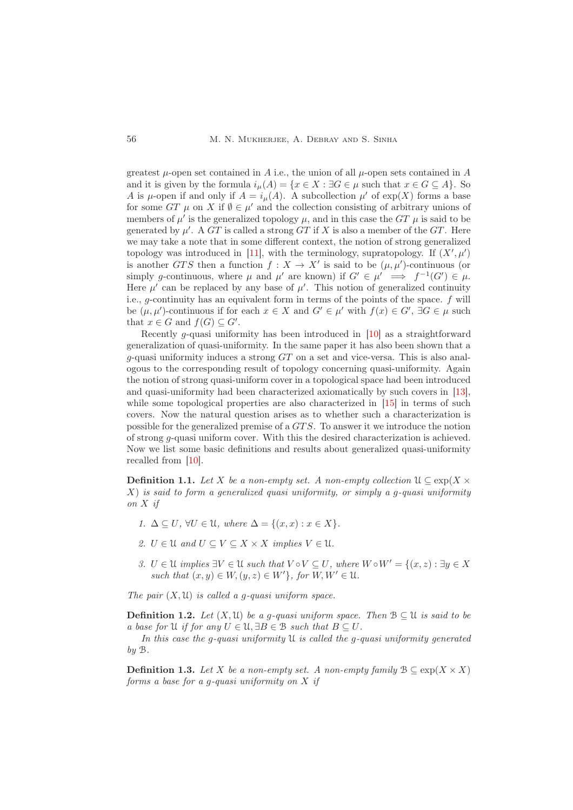greatest  $\mu$ -open set contained in A i.e., the union of all  $\mu$ -open sets contained in A and it is given by the formula  $i_\mu(A) = \{x \in X : \exists G \in \mu \text{ such that } x \in G \subseteq A\}$ . So A is  $\mu$ -open if and only if  $A = i_{\mu}(A)$ . A subcollection  $\mu'$  of  $\exp(X)$  forms a base for some  $GT$   $\mu$  on X if  $\emptyset \in \mu'$  and the collection consisting of arbitrary unions of members of  $\mu'$  is the generalized topology  $\mu$ , and in this case the  $GT$   $\mu$  is said to be generated by  $\mu'$ . A GT is called a strong GT if X is also a member of the GT. Here we may take a note that in some different context, the notion of strong generalized topology was introduced in [\[11\]](#page-10-3), with the terminology, supratopology. If  $(X',\mu')$ is another GTS then a function  $f: X \to X'$  is said to be  $(\mu, \mu')$ -continuous (or simply g-continuous, where  $\mu$  and  $\mu'$  are known) if  $G' \in \mu' \implies f^{-1}(G') \in \mu$ . Here  $\mu'$  can be replaced by any base of  $\mu'$ . This notion of generalized continuity i.e., g-continuity has an equivalent form in terms of the points of the space. f will be  $(\mu, \mu')$ -continuous if for each  $x \in X$  and  $G' \in \mu'$  with  $f(x) \in G'$ ,  $\exists G \in \mu$  such that  $x \in G$  and  $f(G) \subseteq G'$ .

Recently g-quasi uniformity has been introduced in [\[10\]](#page-10-4) as a straightforward generalization of quasi-uniformity. In the same paper it has also been shown that a  $g$ -quasi uniformity induces a strong  $GT$  on a set and vice-versa. This is also analogous to the corresponding result of topology concerning quasi-uniformity. Again the notion of strong quasi-uniform cover in a topological space had been introduced and quasi-uniformity had been characterized axiomatically by such covers in [\[13\]](#page-10-5), while some topological properties are also characterized in [\[15\]](#page-10-6) in terms of such covers. Now the natural question arises as to whether such a characterization is possible for the generalized premise of a GT S. To answer it we introduce the notion of strong  $q$ -quasi uniform cover. With this the desired characterization is achieved. Now we list some basic definitions and results about generalized quasi-uniformity recalled from [\[10\]](#page-10-4).

**Definition 1.1.** Let X be a non-empty set. A non-empty collection  $\mathfrak{U} \subseteq \exp(X \times$  $X$ ) is said to form a generalized quasi uniformity, or simply a g-quasi uniformity on X if

- 1.  $\Delta \subseteq U$ ,  $\forall U \in \mathcal{U}$ , where  $\Delta = \{(x, x) : x \in X\}$ .
- 2.  $U \in \mathcal{U}$  and  $U \subseteq V \subseteq X \times X$  implies  $V \in \mathcal{U}$ .
- 3.  $U \in \mathcal{U}$  implies  $\exists V \in \mathcal{U}$  such that  $V \circ V \subseteq U$ , where  $W \circ W' = \{(x, z) : \exists y \in X$ such that  $(x, y) \in W$ ,  $(y, z) \in W'$ , for  $W, W' \in \mathfrak{U}$ .

The pair  $(X, \mathfrak{U})$  is called a q-quasi uniform space.

**Definition 1.2.** Let  $(X, \mathcal{U})$  be a g-quasi uniform space. Then  $\mathcal{B} \subseteq \mathcal{U}$  is said to be a base for U if for any  $U \in \mathcal{U}, \exists B \in \mathcal{B}$  such that  $B \subseteq U$ .

In this case the q-quasi uniformity  $\mathfrak U$  is called the q-quasi uniformity generated by B.

**Definition 1.3.** Let X be a non-empty set. A non-empty family  $\mathcal{B} \subseteq \exp(X \times X)$ forms a base for a g-quasi uniformity on  $X$  if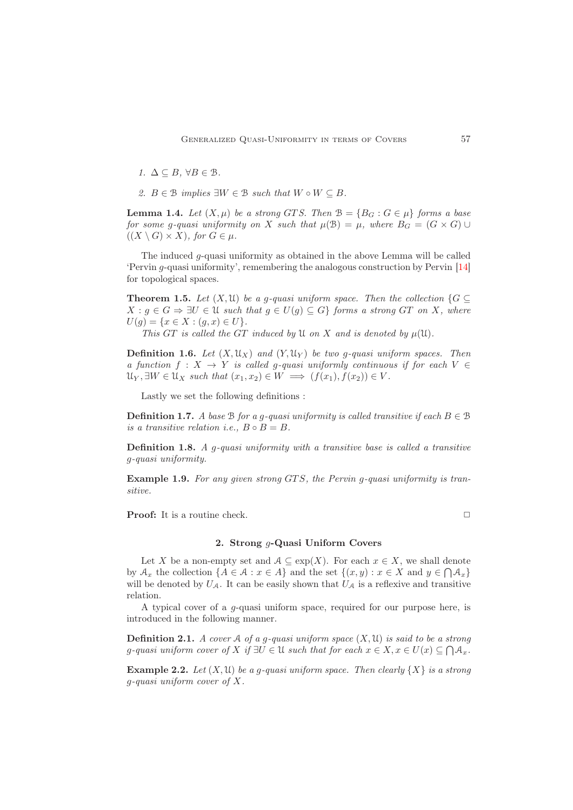1.  $\Delta \subseteq B$ ,  $\forall B \in \mathcal{B}$ .

2.  $B \in \mathcal{B}$  implies  $\exists W \in \mathcal{B}$  such that  $W \circ W \subseteq B$ .

**Lemma 1.4.** Let  $(X, \mu)$  be a strong GTS. Then  $\mathcal{B} = \{B_G : G \in \mu\}$  forms a base for some g-quasi uniformity on X such that  $\mu(\mathcal{B}) = \mu$ , where  $B_G = (G \times G) \cup$  $((X \setminus G) \times X)$ , for  $G \in \mu$ .

The induced  $g$ -quasi uniformity as obtained in the above Lemma will be called 'Pervin g-quasi uniformity', remembering the analogous construction by Pervin [\[14\]](#page-10-7) for topological spaces.

<span id="page-2-1"></span>**Theorem 1.5.** Let  $(X, \mathcal{U})$  be a g-quasi uniform space. Then the collection  $\{G \subseteq$  $X : g \in G \Rightarrow \exists U \in \mathfrak{U}$  such that  $g \in U(g) \subseteq G$  forms a strong GT on X, where  $U(g) = \{x \in X : (g, x) \in U\}.$ 

This GT is called the GT induced by  $\mathfrak U$  on X and is denoted by  $\mu(\mathfrak U)$ .

**Definition 1.6.** Let  $(X, \mathcal{U}_X)$  and  $(Y, \mathcal{U}_Y)$  be two g-quasi uniform spaces. Then a function  $f: X \to Y$  is called g-quasi uniformly continuous if for each  $V \in$  $\mathcal{U}_Y, \exists W \in \mathcal{U}_X$  such that  $(x_1, x_2) \in W \implies (f(x_1), f(x_2)) \in V$ .

Lastly we set the following definitions :

**Definition 1.7.** A base B for a q-quasi uniformity is called transitive if each  $B \in \mathcal{B}$ is a transitive relation i.e.,  $B \circ B = B$ .

**Definition 1.8.** A g-quasi uniformity with a transitive base is called a transitive g-quasi uniformity.

Example 1.9. For any given strong GTS, the Pervin g-quasi uniformity is transitive.

<span id="page-2-0"></span>**Proof:** It is a routine check. ◯

# 2. Strong *a*-Quasi Uniform Covers

Let X be a non-empty set and  $A \subseteq \exp(X)$ . For each  $x \in X$ , we shall denote by  $A_x$  the collection  $\{A \in \mathcal{A} : x \in A\}$  and the set  $\{(x, y) : x \in X \text{ and } y \in \bigcap A_x\}$ will be denoted by  $U_A$ . It can be easily shown that  $U_A$  is a reflexive and transitive relation.

A typical cover of a  $q$ -quasi uniform space, required for our purpose here, is introduced in the following manner.

**Definition 2.1.** A cover A of a g-quasi uniform space  $(X, \mathcal{U})$  is said to be a strong g-quasi uniform cover of X if  $\exists U \in \mathcal{U}$  such that for each  $x \in X, x \in U(x) \subseteq \bigcap \mathcal{A}_x$ .

**Example 2.2.** Let  $(X, \mathcal{U})$  be a g-quasi uniform space. Then clearly  $\{X\}$  is a strong g-quasi uniform cover of X.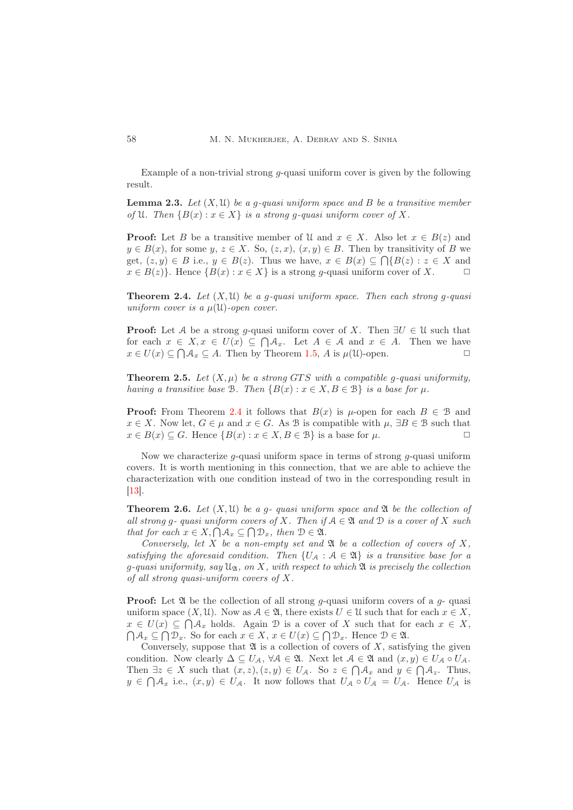Example of a non-trivial strong  $g$ -quasi uniform cover is given by the following result.

<span id="page-3-2"></span>**Lemma 2.3.** Let  $(X, \mathfrak{U})$  be a g-quasi uniform space and B be a transitive member of U. Then  $\{B(x) : x \in X\}$  is a strong g-quasi uniform cover of X.

**Proof:** Let B be a transitive member of U and  $x \in X$ . Also let  $x \in B(z)$  and  $y \in B(x)$ , for some y,  $z \in X$ . So,  $(z, x)$ ,  $(x, y) \in B$ . Then by transitivity of B we get,  $(z, y) \in B$  i.e.,  $y \in B(z)$ . Thus we have,  $x \in B(x) \subseteq \bigcap \{B(z) : z \in X \text{ and }$  $x \in B(z)$ . Hence  $\{B(x) : x \in X\}$  is a strong *q*-quasi uniform cover of X.

<span id="page-3-0"></span>**Theorem 2.4.** Let  $(X, \mathcal{U})$  be a g-quasi uniform space. Then each strong g-quasi uniform cover is a  $\mu(\mathfrak{U})$ -open cover.

**Proof:** Let A be a strong g-quasi uniform cover of X. Then  $\exists U \in \mathcal{U}$  such that for each  $x \in X, x \in U(x) \subseteq \bigcap \mathcal{A}_x$ . Let  $A \in \mathcal{A}$  and  $x \in A$ . Then we have  $x \in U(x) \subseteq \bigcap \mathcal{A}_x \subseteq A$ . Then by Theorem [1.5,](#page-2-1) A is  $\mu(\mathfrak{U})$ -open.

<span id="page-3-3"></span>**Theorem 2.5.** Let  $(X, \mu)$  be a strong GTS with a compatible g-quasi uniformity, having a transitive base B. Then  $\{B(x) : x \in X, B \in \mathcal{B}\}\$ is a base for  $\mu$ .

**Proof:** From Theorem [2.4](#page-3-0) it follows that  $B(x)$  is  $\mu$ -open for each  $B \in \mathcal{B}$  and  $x \in X$ . Now let,  $G \in \mu$  and  $x \in G$ . As B is compatible with  $\mu$ ,  $\exists B \in \mathcal{B}$  such that  $x \in B(x) \subseteq G$ . Hence  $\{B(x) : x \in X, B \in \mathcal{B}\}\$ is a base for  $\mu$ .

Now we characterize  $q$ -quasi uniform space in terms of strong  $q$ -quasi uniform covers. It is worth mentioning in this connection, that we are able to achieve the characterization with one condition instead of two in the corresponding result in [\[13\]](#page-10-5).

<span id="page-3-1"></span>**Theorem 2.6.** Let  $(X, \mathcal{U})$  be a q-quasi uniform space and  $\mathfrak{A}$  be the collection of all strong q- quasi uniform covers of X. Then if  $A \in \mathfrak{A}$  and  $D$  is a cover of X such that for each  $x \in X, \bigcap A_x \subseteq \bigcap \mathcal{D}_x$ , then  $\mathcal{D} \in \mathfrak{A}$ .

Conversely, let X be a non-empty set and  $\mathfrak A$  be a collection of covers of X, satisfying the aforesaid condition. Then  $\{U_A : A \in \mathfrak{A}\}\$ is a transitive base for a q-quasi uniformity, say  $\mathfrak{U}_\mathfrak{A}$ , on X, with respect to which  $\mathfrak A$  is precisely the collection of all strong quasi-uniform covers of X.

**Proof:** Let  $\mathfrak A$  be the collection of all strong g-quasi uniform covers of a g- quasi uniform space  $(X, \mathcal{U})$ . Now as  $\mathcal{A} \in \mathfrak{A}$ , there exists  $U \in \mathcal{U}$  such that for each  $x \in X$ ,  $x \in U(x) \subseteq \bigcap A_x$  holds. Again D is a cover of X such that for each  $x \in X$ ,  $\bigcap A_x \subseteq \bigcap \mathcal{D}_x$ . So for each  $x \in X$ ,  $x \in U(x) \subseteq \bigcap \mathcal{D}_x$ . Hence  $\mathcal{D} \in \mathfrak{A}$ .

Conversely, suppose that  $\mathfrak A$  is a collection of covers of X, satisfying the given condition. Now clearly  $\Delta \subseteq U_{\mathcal{A}}, \forall \mathcal{A} \in \mathfrak{A}.$  Next let  $\mathcal{A} \in \mathfrak{A}$  and  $(x, y) \in U_{\mathcal{A}} \circ U_{\mathcal{A}}.$ Then  $\exists z \in X$  such that  $(x, z), (z, y) \in U_{\mathcal{A}}$ . So  $z \in \bigcap \mathcal{A}_x$  and  $y \in \bigcap \mathcal{A}_z$ . Thus,  $y \in \bigcap A_x$  i.e.,  $(x, y) \in U_A$ . It now follows that  $U_A \circ U_A = U_A$ . Hence  $U_A$  is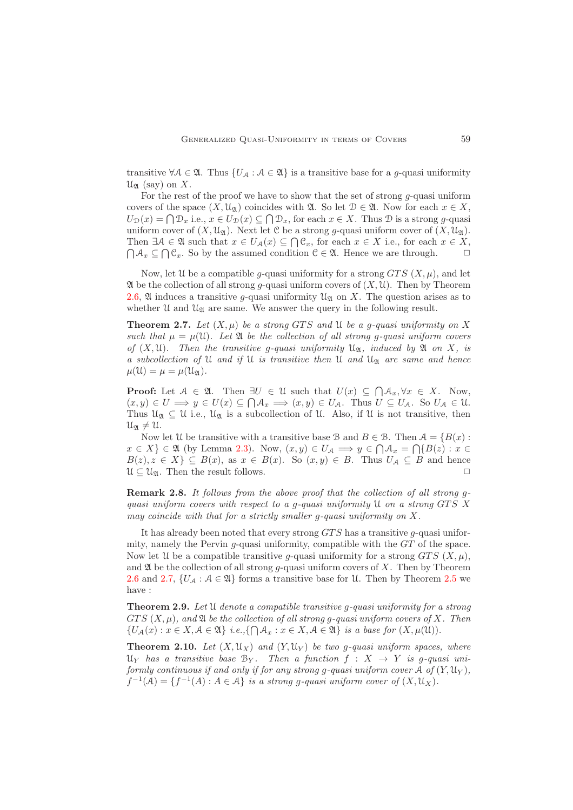transitive  $\forall A \in \mathfrak{A}$ . Thus  $\{U_A : A \in \mathfrak{A}\}\$ is a transitive base for a g-quasi uniformity  $\mathfrak{U}_{\mathfrak{A}}$  (say) on X.

For the rest of the proof we have to show that the set of strong  $q$ -quasi uniform covers of the space  $(X, \mathcal{U}_{\alpha})$  coincides with  $\mathfrak{A}$ . So let  $\mathcal{D} \in \mathfrak{A}$ . Now for each  $x \in X$ ,  $U_{\mathcal{D}}(x) = \bigcap \mathcal{D}_x$  i.e.,  $x \in U_{\mathcal{D}}(x) \subseteq \bigcap \mathcal{D}_x$ , for each  $x \in X$ . Thus  $\mathcal{D}$  is a strong g-quasi uniform cover of  $(X, \mathcal{U}_{\mathfrak{A}})$ . Next let C be a strong g-quasi uniform cover of  $(X, \mathcal{U}_{\mathfrak{A}})$ . Then  $\exists \mathcal{A} \in \mathfrak{A}$  such that  $x \in U_{\mathcal{A}}(x) \subseteq \bigcap \mathfrak{C}_x$ , for each  $x \in X$  i.e., for each  $x \in X$ ,  $\bigcap \mathcal{A}_x \subseteq \bigcap \mathcal{C}_x$ . So by the assumed condition  $\mathcal{C} \in \mathfrak{A}$ . Hence we are through.

Now, let U be a compatible g-quasi uniformity for a strong  $GTS(X, \mu)$ , and let  $\mathfrak A$  be the collection of all strong g-quasi uniform covers of  $(X, \mathfrak U)$ . Then by Theorem [2.6,](#page-3-1)  $\mathfrak A$  induces a transitive g-quasi uniformity  $\mathfrak U_{\mathfrak A}$  on X. The question arises as to whether  $\mathfrak U$  and  $\mathfrak U_{\mathfrak A}$  are same. We answer the query in the following result.

<span id="page-4-0"></span>**Theorem 2.7.** Let  $(X, \mu)$  be a strong GTS and U be a g-quasi uniformity on X such that  $\mu = \mu(\mathfrak{U})$ . Let  $\mathfrak{A}$  be the collection of all strong g-quasi uniform covers of  $(X, \mathfrak{U})$ . Then the transitive g-quasi uniformity  $\mathfrak{U}_{\mathfrak{A}}$ , induced by  $\mathfrak{A}$  on X, is a subcollection of U and if U is transitive then U and  $\mathfrak{U}_{\mathfrak{A}}$  are same and hence  $\mu(\mathfrak{U}) = \mu = \mu(\mathfrak{U}_{\mathfrak{A}}).$ 

**Proof:** Let  $A \in \mathfrak{A}$ . Then  $\exists U \in \mathfrak{U}$  such that  $U(x) \subseteq \bigcap \mathcal{A}_x, \forall x \in X$ . Now,  $(x, y) \in U \Longrightarrow y \in U(x) \subseteq \bigcap \mathcal{A}_x \Longrightarrow (x, y) \in U_{\mathcal{A}}.$  Thus  $U \subseteq U_{\mathcal{A}}.$  So  $U_{\mathcal{A}} \in \mathcal{U}.$ Thus  $\mathcal{U}_{\mathfrak{A}} \subseteq \mathcal{U}$  i.e.,  $\mathcal{U}_{\mathfrak{A}}$  is a subcollection of  $\mathcal{U}$ . Also, if  $\mathcal{U}$  is not transitive, then  $u_{\mathfrak{A}}\neq u$ .

Now let U be transitive with a transitive base B and  $B \in \mathcal{B}$ . Then  $\mathcal{A} = \{B(x) :$  $x \in X$   $\in \mathfrak{A}$  (by Lemma [2.3\)](#page-3-2). Now,  $(x, y) \in U_A \implies y \in \bigcap \mathcal{A}_x = \bigcap \{B(z) : x \in$  $B(z), z \in X$   $\subseteq B(x),$  as  $x \in B(x)$ . So  $(x, y) \in B$ . Thus  $U_A \subseteq B$  and hence  $\mathcal{U} \subseteq \mathcal{U}_{\mathfrak{A}}$ . Then the result follows.

Remark 2.8. It follows from the above proof that the collection of all strong gquasi uniform covers with respect to a g-quasi uniformity  $\mathcal U$  on a strong GTS X may coincide with that for a strictly smaller g-quasi uniformity on X.

It has already been noted that every strong  $GTS$  has a transitive g-quasi uniformity, namely the Pervin  $q$ -quasi uniformity, compatible with the  $GT$  of the space. Now let U be a compatible transitive q-quasi uniformity for a strong  $GTS(X, \mu)$ , and  $\mathfrak A$  be the collection of all strong *q*-quasi uniform covers of X. Then by Theorem [2.6](#page-3-1) and [2.7,](#page-4-0)  $\{U_A : A \in \mathfrak{A}\}\)$  forms a transitive base for U. Then by Theorem [2.5](#page-3-3) we have :

<span id="page-4-1"></span>**Theorem 2.9.** Let U denote a compatible transitive q-quasi uniformity for a strong  $GTS(X, \mu)$ , and  $\mathfrak A$  be the collection of all strong q-quasi uniform covers of X. Then  $\{U_{\mathcal{A}}(x): x \in X, \mathcal{A} \in \mathfrak{A}\}\ i.e., \{\bigcap \mathcal{A}_x : x \in X, \mathcal{A} \in \mathfrak{A}\}\ \text{is a base for }(X, \mu(\mathfrak{U})).$ 

**Theorem 2.10.** Let  $(X, \mathcal{U}_X)$  and  $(Y, \mathcal{U}_Y)$  be two g-quasi uniform spaces, where  $\mathfrak{U}_Y$  has a transitive base  $\mathfrak{B}_Y$ . Then a function  $f : X \to Y$  is g-quasi uniformly continuous if and only if for any strong g-quasi uniform cover  $A$  of  $(Y, \mathfrak{U}_Y)$ ,  $f^{-1}(\mathcal{A}) = \{f^{-1}(A) : A \in \mathcal{A}\}\$ is a strong g-quasi uniform cover of  $(X, \mathfrak{U}_X)$ .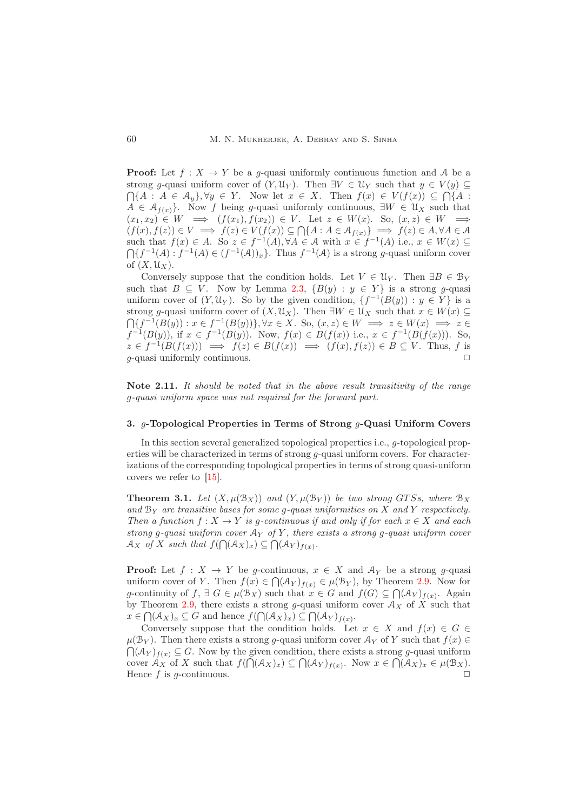**Proof:** Let  $f: X \to Y$  be a g-quasi uniformly continuous function and A be a strong g-quasi uniform cover of  $(Y, \mathcal{U}_Y)$ . Then  $\exists V \in \mathcal{U}_Y$  such that  $y \in V(y) \subseteq$  $\bigcap \{A : A \in \mathcal{A}_y\}, \forall y \in Y$ . Now let  $x \in X$ . Then  $f(x) \in V(f(x)) \subseteq \bigcap \{A : A \in \mathcal{A}_y\}$ .  $A \in \mathcal{A}_{f(x)}$ . Now f being g-quasi uniformly continuous,  $\exists W \in \mathcal{U}_X$  such that  $(x_1, x_2) \in W \implies (f(x_1), f(x_2)) \in V$ . Let  $z \in W(x)$ . So,  $(x, z) \in W \implies$  $(f(x), f(z)) \in V \implies f(z) \in V(f(x)) \subseteq \bigcap \{A : A \in \mathcal{A}_{f(x)}\} \implies f(z) \in A, \forall A \in \mathcal{A}$ such that  $f(x) \in A$ . So  $z \in f^{-1}(A)$ ,  $\forall A \in \mathcal{A}$  with  $x \in f^{-1}(A)$  i.e.,  $x \in W(x) \subseteq$  $\bigcap \{f^{-1}(A) : f^{-1}(A) \in (f^{-1}(A))_x\}$ . Thus  $f^{-1}(A)$  is a strong g-quasi uniform cover of  $(X, \mathfrak{U}_X)$ .

Conversely suppose that the condition holds. Let  $V \in \mathcal{U}_Y$ . Then  $\exists B \in \mathcal{B}_Y$ such that  $B \subseteq V$ . Now by Lemma [2.3,](#page-3-2)  $\{B(y) : y \in Y\}$  is a strong q-quasi uniform cover of  $(Y, \mathfrak{U}_Y)$ . So by the given condition,  $\{f^{-1}(B(y)) : y \in Y\}$  is a strong g-quasi uniform cover of  $(X, \mathcal{U}_X)$ . Then  $\exists W \in \mathcal{U}_X$  such that  $x \in W(x) \subseteq$  $\bigcap \{f^{-1}(B(y)): x \in f^{-1}(B(y))\}, \forall x \in X$ . So,  $(x, z) \in W \implies z \in W(x) \implies z \in W$  $f^{-1}(B(y))$ , if  $x \in f^{-1}(B(y))$ . Now,  $f(x) \in B(f(x))$  i.e.,  $x \in f^{-1}(B(f(x)))$ . So,  $z \in f^{-1}(B(f(x))) \implies f(z) \in B(f(x)) \implies (f(x), f(z)) \in B \subseteq V$ . Thus, f is  $q$ -quasi uniformly continuous.

Note 2.11. It should be noted that in the above result transitivity of the range g-quasi uniform space was not required for the forward part.

# <span id="page-5-0"></span>3. g-Topological Properties in Terms of Strong g-Quasi Uniform Covers

In this section several generalized topological properties i.e., g-topological properties will be characterized in terms of strong  $g$ -quasi uniform covers. For characterizations of the corresponding topological properties in terms of strong quasi-uniform covers we refer to [\[15\]](#page-10-6).

**Theorem 3.1.** Let  $(X, \mu(\mathcal{B}_X))$  and  $(Y, \mu(\mathcal{B}_Y))$  be two strong GTSs, where  $\mathcal{B}_X$ and  $B_Y$  are transitive bases for some g-quasi uniformities on X and Y respectively. Then a function  $f: X \to Y$  is g-continuous if and only if for each  $x \in X$  and each strong g-quasi uniform cover  $A_Y$  of Y, there exists a strong g-quasi uniform cover  $\mathcal{A}_X$  of X such that  $f(\bigcap (\mathcal{A}_X)_x) \subseteq \bigcap (\mathcal{A}_Y)_{f(x)}$ .

**Proof:** Let  $f: X \to Y$  be g-continuous,  $x \in X$  and  $\mathcal{A}_Y$  be a strong g-quasi uniform cover of Y. Then  $f(x) \in \bigcap (\mathcal{A}_Y)_{f(x)} \in \mu(\mathcal{B}_Y)$ , by Theorem [2.9.](#page-4-1) Now for g-continuity of  $f, \exists G \in \mu(\mathcal{B}_X)$  such that  $x \in G$  and  $f(G) \subseteq \bigcap (\mathcal{A}_Y)_{f(x)}$ . Again by Theorem [2.9,](#page-4-1) there exists a strong g-quasi uniform cover  $\mathcal{A}_X$  of X such that  $x \in \bigcap (\mathcal{A}_X)_x \subseteq G$  and hence  $f(\bigcap (\mathcal{A}_X)_x) \subseteq \bigcap (\mathcal{A}_Y)_{f(x)}$ .

Conversely suppose that the condition holds. Let  $x \in X$  and  $f(x) \in G$ .  $\mu(\mathcal{B}_Y)$ . Then there exists a strong q-quasi uniform cover  $\mathcal{A}_Y$  of Y such that  $f(x) \in$  $\bigcap (\mathcal{A}_Y)_{f(x)} \subseteq G$ . Now by the given condition, there exists a strong g-quasi uniform cover  $\mathcal{A}_X$  of X such that  $f(\bigcap (\mathcal{A}_X)_x) \subseteq \bigcap (\mathcal{A}_Y)_{f(x)}$ . Now  $x \in \bigcap (\mathcal{A}_X)_x \in \mu(\mathcal{B}_X)$ . Hence f is q-continuous.  $\Box$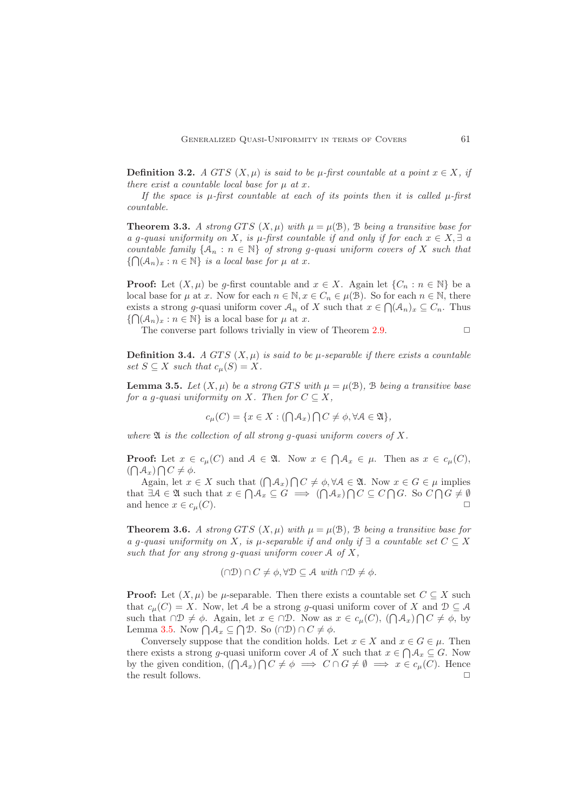**Definition 3.2.** A GTS  $(X, \mu)$  is said to be  $\mu$ -first countable at a point  $x \in X$ , if there exist a countable local base for  $\mu$  at x.

If the space is  $\mu$ -first countable at each of its points then it is called  $\mu$ -first countable.

**Theorem 3.3.** A strong GTS  $(X, \mu)$  with  $\mu = \mu(\mathcal{B})$ , B being a transitive base for a g-quasi uniformity on X, is  $\mu$ -first countable if and only if for each  $x \in X$ ,  $\exists a$ countable family  $\{A_n : n \in \mathbb{N}\}\$  of strong q-quasi uniform covers of X such that  $\{\bigcap_{n\in\mathbb{N}}\{A_n\}_{x}:n\in\mathbb{N}\}\$ is a local base for  $\mu$  at x.

**Proof:** Let  $(X, \mu)$  be g-first countable and  $x \in X$ . Again let  $\{C_n : n \in \mathbb{N}\}\)$  be a local base for  $\mu$  at x. Now for each  $n \in \mathbb{N}, x \in C_n \in \mu(\mathcal{B})$ . So for each  $n \in \mathbb{N}$ , there exists a strong g-quasi uniform cover  $A_n$  of X such that  $x \in \bigcap (A_n)_x \subseteq C_n$ . Thus  $\{\bigcap (\mathcal{A}_n)_x : n \in \mathbb{N}\}\$ is a local base for  $\mu$  at x.

The converse part follows trivially in view of Theorem [2.9.](#page-4-1)  $\Box$ 

**Definition 3.4.** A GTS  $(X, \mu)$  is said to be  $\mu$ -separable if there exists a countable set  $S \subseteq X$  such that  $c_u(S) = X$ .

<span id="page-6-0"></span>**Lemma 3.5.** Let  $(X, u)$  be a strong GTS with  $u = u(\mathcal{B})$ . B being a transitive base for a g-quasi uniformity on X. Then for  $C \subseteq X$ ,

$$
c_{\mu}(C) = \{ x \in X : (\bigcap \mathcal{A}_x) \bigcap C \neq \emptyset, \forall A \in \mathfrak{A} \},
$$

where  $\mathfrak A$  is the collection of all strong q-quasi uniform covers of X.

**Proof:** Let  $x \in c_{\mu}(C)$  and  $A \in \mathfrak{A}$ . Now  $x \in \bigcap \mathcal{A}_x \in \mu$ . Then as  $x \in c_{\mu}(C)$ ,  $(\bigcap A_x) \bigcap C \neq \phi.$ 

Again, let  $x \in X$  such that  $(\bigcap \mathcal{A}_x) \cap C \neq \emptyset, \forall A \in \mathfrak{A}$ . Now  $x \in G \in \mu$  implies that  $\exists A \in \mathfrak{A}$  such that  $x \in \bigcap \mathcal{A}_x \subseteq G \implies (\bigcap \mathcal{A}_x) \bigcap C \subseteq C \bigcap G$ . So  $C \bigcap G \neq \emptyset$ and hence  $x \in c_u(C)$ .

**Theorem 3.6.** A strong GTS  $(X, \mu)$  with  $\mu = \mu(\mathcal{B})$ , B being a transitive base for a g-quasi uniformity on X, is  $\mu$ -separable if and only if  $\exists$  a countable set  $C \subseteq X$ such that for any strong q-quasi uniform cover  $A$  of  $X$ ,

 $(∩D) ∩ C ≠ φ, ∀D ⊂ A with ∩D ≠ φ.$ 

**Proof:** Let  $(X, \mu)$  be  $\mu$ -separable. Then there exists a countable set  $C \subseteq X$  such that  $c_u(C) = X$ . Now, let A be a strong g-quasi uniform cover of X and  $\mathcal{D} \subseteq \mathcal{A}$ such that  $\cap \mathcal{D} \neq \phi$ . Again, let  $x \in \cap \mathcal{D}$ . Now as  $x \in c_{\mu}(C)$ ,  $(\bigcap \mathcal{A}_x) \bigcap C \neq \phi$ , by Lemma [3.5.](#page-6-0) Now  $\bigcap \mathcal{A}_x \subseteq \bigcap \mathcal{D}$ . So  $(\bigcap \mathcal{D}) \cap C \neq \emptyset$ .

Conversely suppose that the condition holds. Let  $x \in X$  and  $x \in G \in \mu$ . Then there exists a strong g-quasi uniform cover A of X such that  $x \in \bigcap \mathcal{A}_x \subseteq G$ . Now by the given condition,  $(\bigcap A_x) \cap C \neq \emptyset \implies C \cap G \neq \emptyset \implies x \in c_{\mu}(C)$ . Hence the result follows.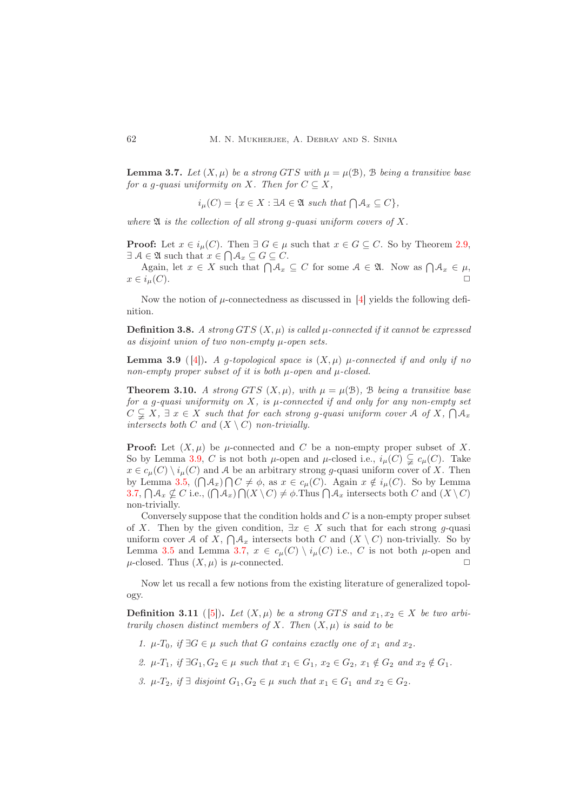<span id="page-7-1"></span>**Lemma 3.7.** Let  $(X, \mu)$  be a strong GTS with  $\mu = \mu(\mathcal{B})$ ,  $\mathcal{B}$  being a transitive base for a g-quasi uniformity on X. Then for  $C \subseteq X$ ,

$$
i_{\mu}(C) = \{ x \in X : \exists \mathcal{A} \in \mathfrak{A} \text{ such that } \bigcap \mathcal{A}_x \subseteq C \},
$$

where  $\mathfrak A$  is the collection of all strong g-quasi uniform covers of X.

**Proof:** Let  $x \in i_{\mu}(C)$ . Then  $\exists G \in \mu$  such that  $x \in G \subseteq C$ . So by Theorem [2.9,](#page-4-1)  $\exists \mathcal{A} \in \mathfrak{A}$  such that  $x \in \bigcap \mathcal{A}_x \subseteq G \subseteq C$ .

Again, let  $x \in X$  such that  $\bigcap \mathcal{A}_x \subseteq C$  for some  $\mathcal{A} \in \mathfrak{A}$ . Now as  $\bigcap \mathcal{A}_x \in \mu$ ,  $x \in i_{\mu}(C)$ .

Now the notion of  $\mu$ -connectedness as discussed in [\[4\]](#page-9-6) yields the following definition.

**Definition 3.8.** A strong GTS  $(X, \mu)$  is called  $\mu$ -connected if it cannot be expressed as disjoint union of two non-empty µ-open sets.

<span id="page-7-0"></span>**Lemma 3.9** ([4]). A g-topological space is  $(X, \mu)$   $\mu$ -connected if and only if no non-empty proper subset of it is both  $\mu$ -open and  $\mu$ -closed.

**Theorem 3.10.** A strong GTS  $(X, \mu)$ , with  $\mu = \mu(\mathcal{B})$ , B being a transitive base for a q-quasi uniformity on X, is  $\mu$ -connected if and only for any non-empty set  $C \subsetneq X$ ,  $\exists x \in X$  such that for each strong g-quasi uniform cover A of X,  $\bigcap A_x$ intersects both C and  $(X \setminus C)$  non-trivially.

**Proof:** Let  $(X, \mu)$  be  $\mu$ -connected and C be a non-empty proper subset of X. So by Lemma [3.9,](#page-7-0) C is not both  $\mu$ -open and  $\mu$ -closed i.e.,  $i_{\mu}(C) \subsetneq c_{\mu}(C)$ . Take  $x \in c_{\mu}(C) \setminus i_{\mu}(C)$  and A be an arbitrary strong g-quasi uniform cover of X. Then by Lemma [3.5,](#page-6-0)  $(\bigcap \mathcal{A}_x) \bigcap C \neq \emptyset$ , as  $x \in c_{\mu}(C)$ . Again  $x \notin i_{\mu}(C)$ . So by Lemma [3.7,](#page-7-1)  $\bigcap \mathcal{A}_x \nsubseteq C$  i.e.,  $(\bigcap \mathcal{A}_x) \bigcap (X \setminus C) \neq \emptyset$ . Thus  $\bigcap \mathcal{A}_x$  intersects both C and  $(X \setminus C)$ non-trivially.

Conversely suppose that the condition holds and  $C$  is a non-empty proper subset of X. Then by the given condition,  $\exists x \in X$  such that for each strong g-quasi uniform cover A of X,  $\bigcap A_x$  intersects both C and  $(X \setminus C)$  non-trivially. So by Lemma [3.5](#page-6-0) and Lemma [3.7,](#page-7-1)  $x \in c_{\mu}(C) \setminus i_{\mu}(C)$  i.e., C is not both  $\mu$ -open and  $\mu$ -closed. Thus  $(X, \mu)$  is  $\mu$ -connected.

Now let us recall a few notions from the existing literature of generalized topology.

**Definition 3.11** ([5]). Let  $(X, \mu)$  be a strong GTS and  $x_1, x_2 \in X$  be two arbitrarily chosen distinct members of X. Then  $(X, \mu)$  is said to be

- 1.  $\mu$ -T<sub>0</sub>, if  $\exists G \in \mu$  such that G contains exactly one of  $x_1$  and  $x_2$ .
- 2.  $\mu$ -T<sub>1</sub>, if  $\exists G_1, G_2 \in \mu$  such that  $x_1 \in G_1$ ,  $x_2 \in G_2$ ,  $x_1 \notin G_2$  and  $x_2 \notin G_1$ .
- 3.  $\mu$ - $T_2$ , if  $\exists$  disjoint  $G_1, G_2 \in \mu$  such that  $x_1 \in G_1$  and  $x_2 \in G_2$ .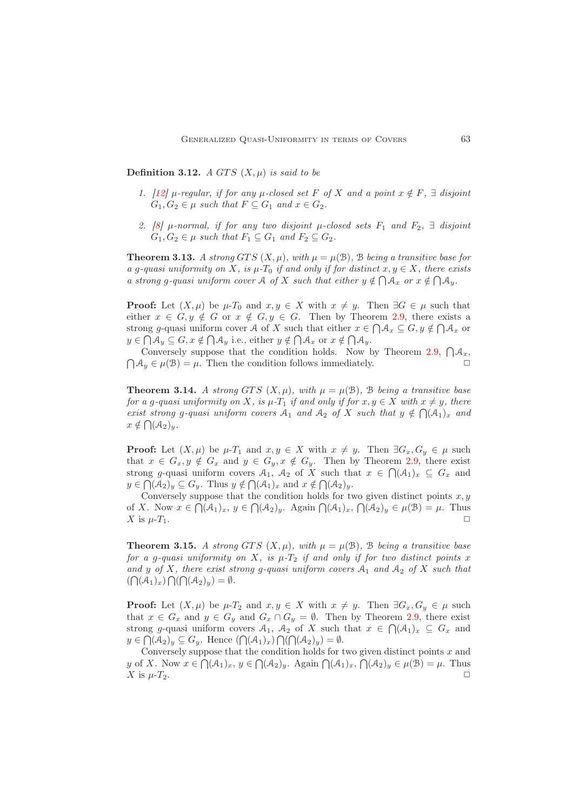Definition 3.12. A GTS  $(X, \mu)$  is said to be

- 1. [\[12\]](#page-10-2)  $\mu$ -regular, if for any  $\mu$ -closed set F of X and a point  $x \notin F$ ,  $\exists$  disjoint  $G_1, G_2 \in \mu$  such that  $F \subseteq G_1$  and  $x \in G_2$ .
- 2. [\[8\]](#page-10-0)  $\mu$ -normal, if for any two disjoint  $\mu$ -closed sets  $F_1$  and  $F_2$ ,  $\exists$  disjoint  $G_1, G_2 \in \mu$  such that  $F_1 \subseteq G_1$  and  $F_2 \subseteq G_2$ .

**Theorem 3.13.** A strong GTS  $(X, \mu)$ , with  $\mu = \mu(\mathcal{B})$ ,  $\mathcal{B}$  being a transitive base for a g-quasi uniformity on X, is  $\mu$ -T<sub>0</sub> if and only if for distinct  $x, y \in X$ , there exists a strong g-quasi uniform cover A of X such that either  $y \notin \bigcap A_x$  or  $x \notin \bigcap A_y$ .

**Proof:** Let  $(X, \mu)$  be  $\mu$ -T<sub>0</sub> and  $x, y \in X$  with  $x \neq y$ . Then  $\exists G \in \mu$  such that either  $x \in G, y \notin G$  or  $x \notin G, y \in G$ . Then by Theorem [2.9,](#page-4-1) there exists a strong g-quasi uniform cover A of X such that either  $x \in \bigcap \mathcal{A}_x \subseteq G, y \notin \bigcap \mathcal{A}_x$  or  $y \in \bigcap A_y \subseteq G, x \notin \bigcap A_y$  i.e., either  $y \notin \bigcap A_x$  or  $x \notin \bigcap A_y$ .

Conversely suppose that the condition holds. Now by Theorem [2.9,](#page-4-1)  $\bigcap A_x$ ,  $\bigcap \mathcal{A}_y \in \mu(\mathcal{B}) = \mu$ . Then the condition follows immediately.

**Theorem 3.14.** A strong GTS  $(X, \mu)$ , with  $\mu = \mu(\mathcal{B})$ , B being a transitive base for a q-quasi uniformity on X, is  $\mu$ -T<sub>1</sub> if and only if for  $x, y \in X$  with  $x \neq y$ , there exist strong g-quasi uniform covers  $A_1$  and  $A_2$  of X such that  $y \notin \bigcap (A_1)_x$  and  $x \notin \bigcap_{\mathcal{A}_2} (\mathcal{A}_2)_y.$ 

**Proof:** Let  $(X, \mu)$  be  $\mu$ - $T_1$  and  $x, y \in X$  with  $x \neq y$ . Then  $\exists G_x, G_y \in \mu$  such that  $x \in G_x, y \notin G_x$  and  $y \in G_y, x \notin G_y$ . Then by Theorem [2.9,](#page-4-1) there exist strong g-quasi uniform covers  $A_1$ ,  $A_2$  of X such that  $x \in \bigcap (A_1)_x \subseteq G_x$  and  $y \in \bigcap_{\mathcal{A}(A_2)_y} \subseteq G_y$ . Thus  $y \notin \bigcap_{\mathcal{A}(A_1)_x}$  and  $x \notin \bigcap_{\mathcal{A}(A_2)_y}$ .

Conversely suppose that the condition holds for two given distinct points  $x, y$ of X. Now  $x \in \bigcap_{\mathcal{A}} (\mathcal{A}_1)_x, y \in \bigcap_{\mathcal{A}} (\mathcal{A}_2)_y$ . Again  $\bigcap_{\mathcal{A}} (\mathcal{A}_1)_x, \bigcap_{\mathcal{A}} (\mathcal{A}_2)_y \in \mu(\mathcal{B}) = \mu$ . Thus  $X$  is  $\mu$ - $T_1$ .

**Theorem 3.15.** A strong GTS  $(X, \mu)$ , with  $\mu = \mu(\mathcal{B})$ , B being a transitive base for a g-quasi uniformity on X, is  $\mu$ -T<sub>2</sub> if and only if for two distinct points x and y of X, there exist strong g-quasi uniform covers  $A_1$  and  $A_2$  of X such that  $(\bigcap (\mathcal{A}_1)_x) \bigcap (\bigcap (\mathcal{A}_2)_y) = \emptyset.$ 

**Proof:** Let  $(X, \mu)$  be  $\mu$ - $T_2$  and  $x, y \in X$  with  $x \neq y$ . Then  $\exists G_x, G_y \in \mu$  such that  $x \in G_x$  and  $y \in G_y$  and  $G_x \cap G_y = \emptyset$ . Then by Theorem [2.9,](#page-4-1) there exist strong g-quasi uniform covers  $A_1$ ,  $A_2$  of X such that  $x \in \bigcap (A_1)_x \subseteq G_x$  and  $y \in \bigcap_{\mathcal{A}_2} (\mathcal{A}_2)_y \subseteq G_y$ . Hence  $(\bigcap_{\mathcal{A}_1} (\mathcal{A}_1)_x) \bigcap_{\mathcal{A}} (\bigcap_{\mathcal{A}_2} (\mathcal{A}_2)_y) = \emptyset$ .

Conversely suppose that the condition holds for two given distinct points  $x$  and y of X. Now  $x \in \bigcap (\mathcal{A}_1)_x, y \in \bigcap (\mathcal{A}_2)_y$ . Again  $\bigcap (\mathcal{A}_1)_x, \bigcap (\mathcal{A}_2)_y \in \mu(\mathcal{B}) = \mu$ . Thus  $X$  is  $\mu$ - $T_2$ .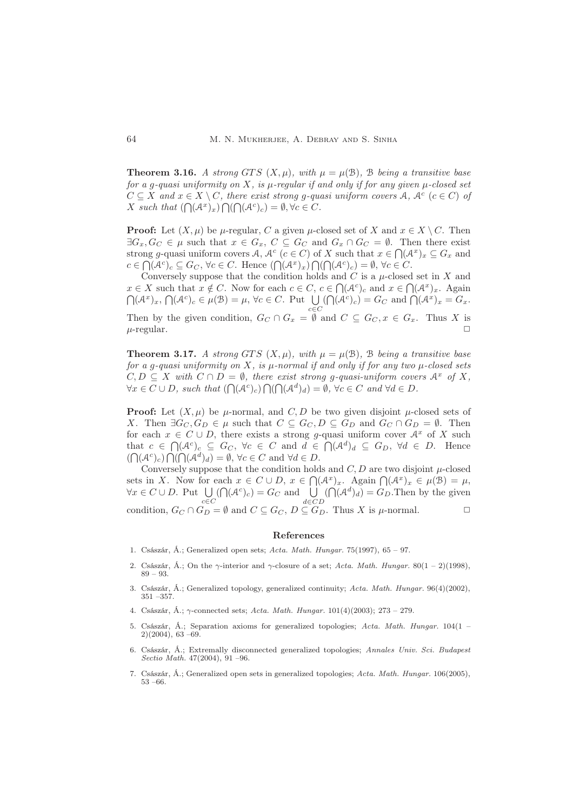**Theorem 3.16.** A strong GTS  $(X, \mu)$ , with  $\mu = \mu(\mathcal{B})$ , B being a transitive base for a g-quasi uniformity on X, is  $\mu$ -regular if and only if for any given  $\mu$ -closed set  $C \subseteq X$  and  $x \in X \setminus C$ , there exist strong g-quasi uniform covers A,  $A^c$  ( $c \in C$ ) of X such that  $(\bigcap (\mathcal{A}^x)_x) \bigcap (\bigcap (\mathcal{A}^c)_c) = \emptyset, \forall c \in C$ .

**Proof:** Let  $(X, \mu)$  be  $\mu$ -regular, C a given  $\mu$ -closed set of X and  $x \in X \setminus C$ . Then  $\exists G_x, G_C \in \mu$  such that  $x \in G_x$ ,  $C \subseteq G_C$  and  $G_x \cap G_C = \emptyset$ . Then there exist strong g-quasi uniform covers A,  $A^c$  ( $c \in C$ ) of X such that  $x \in \bigcap (A^x)_x \subseteq G_x$  and  $c \in \bigcap (\mathcal{A}^c)_c \subseteq G_C$ ,  $\forall c \in C$ . Hence  $(\bigcap (\mathcal{A}^x)_x) \bigcap (\bigcap (\mathcal{A}^c)_c) = \emptyset$ ,  $\forall c \in C$ .

Conversely suppose that the condition holds and  $C$  is a  $\mu$ -closed set in  $X$  and  $x \in X$  such that  $x \notin C$ . Now for each  $c \in C$ ,  $c \in \bigcap (\mathcal{A}^c)_c$  and  $x \in \bigcap (\mathcal{A}^x)_x$ . Again  $\bigcap_{\alpha} (\mathcal{A}^x)_x, \bigcap_{\alpha} (\mathcal{A}^c)_c \in \mu(\mathcal{B}) = \mu, \forall c \in C.$  Put  $\bigcup_{c \in C}$  $(\bigcap (\mathcal{A}^c)_c) = G_C$  and  $\bigcap (\mathcal{A}^x)_x = G_x$ . Then by the given condition,  $G_C \cap G_x = \emptyset$  and  $C \subseteq G_C, x \in G_x$ . Thus X is  $\mu$ -regular.  $\Box$ 

**Theorem 3.17.** A strong GTS  $(X, \mu)$ , with  $\mu = \mu(\mathcal{B})$ ,  $\mathcal{B}$  being a transitive base for a g-quasi uniformity on X, is  $\mu$ -normal if and only if for any two  $\mu$ -closed sets  $C, D \subseteq X$  with  $C \cap D = \emptyset$ , there exist strong g-quasi-uniform covers  $A^x$  of X,  $\forall x \in C \cup D$ , such that  $(\bigcap (\mathcal{A}^c)_c) \bigcap (\bigcap (\mathcal{A}^d)_d) = \emptyset$ ,  $\forall c \in C$  and  $\forall d \in D$ .

**Proof:** Let  $(X, \mu)$  be  $\mu$ -normal, and C, D be two given disjoint  $\mu$ -closed sets of X. Then  $\exists G_C, G_D \in \mu$  such that  $C \subseteq G_C, D \subseteq G_D$  and  $G_C \cap G_D = \emptyset$ . Then for each  $x \in C \cup D$ , there exists a strong g-quasi uniform cover  $A^x$  of X such that  $c \in \bigcap_{\mathcal{A}^c} (\mathcal{A}^c)_c \subseteq G_C$ ,  $\forall c \in C$  and  $d \in \bigcap_{\mathcal{A}^d} (\mathcal{A}^d)_d \subseteq G_D$ ,  $\forall d \in D$ . Hence  $(\bigcap_{i} (\mathcal{A}^c)_c) \bigcap_{i} (\bigcap_{i} (\mathcal{A}^d)_d) = \emptyset, \forall c \in C \text{ and } \forall d \in D.$ 

Conversely suppose that the condition holds and  $C, D$  are two disjoint  $\mu$ -closed sets in X. Now for each  $x \in C \cup D$ ,  $x \in \bigcap (\mathcal{A}^x)_x$ . Again  $\bigcap (\mathcal{A}^x)_x \in \mu(\mathcal{B}) = \mu$ ,  $\forall x \in C \cup D$ . Put  $\bigcup_{c \in C}$  $(\bigcap (\mathcal{A}^c)_c) = G_C$  and  $\bigcup_{d \in CD}$  $(\bigcap (\mathcal{A}^d)_d) = G_D$ . Then by the given condition,  $G_C \cap G_D = \emptyset$  and  $C \subseteq G_C$ ,  $D \subseteq G_D$ . Thus X is  $\mu$ -normal.

#### <span id="page-9-0"></span>References

- <span id="page-9-2"></span><span id="page-9-1"></span>1. Császár, Á.; Generalized open sets; *Acta. Math. Hungar.* 75(1997), 65 – 97.
- 2. Császár, Á.; On the  $\gamma$ -interior and  $\gamma$ -closure of a set; *Acta. Math. Hungar.* 80(1 2)(1998), 89 – 93.
- <span id="page-9-3"></span>3. Császár, Á.; Generalized topology, generalized continuity; *Acta. Math. Hungar.* 96(4)(2002), 351 –357.
- <span id="page-9-7"></span><span id="page-9-6"></span>4. Császár, Á.; γ-connected sets; *Acta. Math. Hungar.* 101(4)(2003); 273 – 279.
- 5. Császár, Á.; Separation axioms for generalized topologies; *Acta. Math. Hungar.* 104(1 2)(2004), 63 –69.
- <span id="page-9-4"></span>6. Császár, Á.; Extremally disconnected generalized topologies; *Annales Univ. Sci. Budapest Sectio Math.* 47(2004), 91 –96.
- <span id="page-9-5"></span>7. Császár, Á.; Generalized open sets in generalized topologies; *Acta. Math. Hungar.* 106(2005), 53 –66.